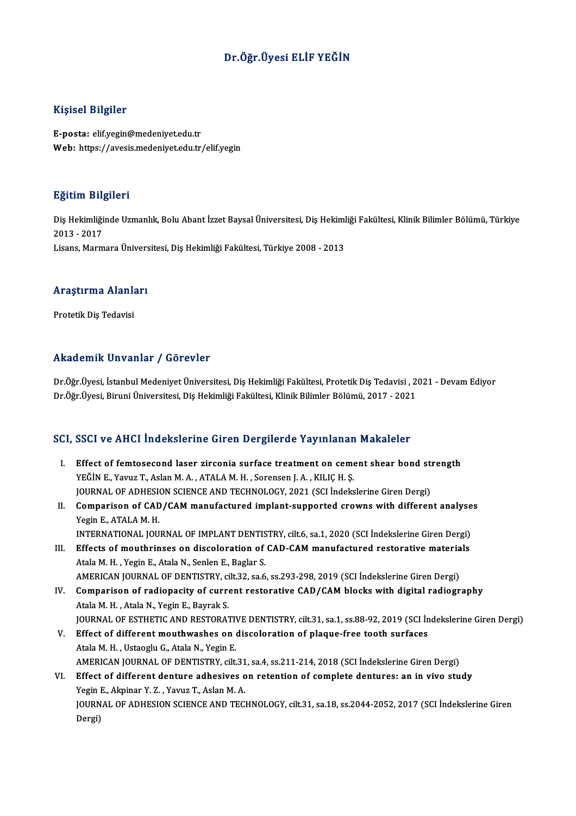# Dr.Öğr.Üyesi ELİF YEĞİN

### Kişisel Bilgiler

E-posta: elif.yegin@medeniyet.edu.tr Web: https://avesis.medeniyet.edu.tr/elif.yegin

#### Eğitim Bilgileri

**Eğitim Bilgileri**<br>Diş Hekimliğinde Uzmanlık, Bolu Abant İzzet Baysal Üniversitesi, Diş Hekimliği Fakültesi, Klinik Bilimler Bölümü, Türkiye<br>2013 - 2017 233<br>Diş Hekimliği<br>2013 - 2017<br>Lisans Marm 2013 - 2017<br>Lisans, Marmara Üniversitesi, Diş Hekimliği Fakültesi, Türkiye 2008 - 2013

# Lisans, marmara onivers<br>Araştırma Alanları <mark>Araştırma Alanl</mark>ı<br>Protetik Diş Tedavisi

# Akademik Unvanlar / Görevler

Dr.Öğr.Üyesi, İstanbul Medeniyet Üniversitesi, Diş Hekimliği Fakültesi, Protetik Diş Tedavisi , 2021 - Devam Ediyor Dr.Öğr.Üyesi, Biruni Üniversitesi, Diş Hekimliği Fakültesi, Klinik Bilimler Bölümü, 2017 - 2021

## SCI, SSCI ve AHCI İndekslerine Giren Dergilerde Yayınlanan Makaleler

- CI, SSCI ve AHCI Indekslerine Giren Dergilerde Yayınlanan Makaleler<br>I. Effect of femtosecond laser zirconia surface treatment on cement shear bond strength<br>VEČIN E. Youw T. Aslan M.A. ATALA M.H. Soronson L.A., KU IC H.S. SEGI VE IIINEI INGENISISMI GITEN EURISI TEGHETGE TAJ INAMAN.<br>YEĞİN E., Yavuz T., Aslan M. A., ATALA M. H., Sorensen J. A., KILIÇ H. Ş.<br>JOUPMAL OF ADUESION SCIENCE AND TECUNOLOGY 2021 (SCI İndeks Effect of femtosecond laser zirconia surface treatment on cement shear bond st:<br>YEĞİN E., Yavuz T., Aslan M. A. , ATALA M. H. , Sorensen J. A. , KILIÇ H. Ş.<br>JOURNAL OF ADHESION SCIENCE AND TECHNOLOGY, 2021 (SCI İndekslerin YEĞİN E., Yavuz T., Aslan M. A. , ATALA M. H. , Sorensen J. A. , KILIÇ H. Ş.<br>JOURNAL OF ADHESION SCIENCE AND TECHNOLOGY, 2021 (SCI İndekslerine Giren Dergi)<br>II. Comparison of CAD/CAM manufactured implant-supported crowns w
- JOURNAL OF ADHESION SCIENCE AND TECHNOLOGY, 2021 (SCI Indekslerine Giren Dergi)<br>Comparison of CAD/CAM manufactured implant-supported crowns with differen<br>Yegin E., ATALA M. H. Comparison of CAD/CAM manufactured implant-supported crowns with different analyse<br>Yegin E., ATALA M. H.<br>INTERNATIONAL JOURNAL OF IMPLANT DENTISTRY, cilt.6, sa.1, 2020 (SCI İndekslerine Giren Dergi)<br>Effects of mouthringse INTERNATIONAL JOURNAL OF IMPLANT DENTISTRY, cilt.6, sa.1, 2020 (SCI Indekslerine Giren Dergi)
- III. Effects of mouthrinses on discoloration of CAD-CAM manufactured restorative materials Atala M. H., Yegin E., Atala N., Senlen E., Baglar S. Effects of mouthrinses on discoloration of CAD-CAM manufactured restorative materia<br>Atala M. H. , Yegin E., Atala N., Senlen E., Baglar S.<br>AMERICAN JOURNAL OF DENTISTRY, cilt.32, sa.6, ss.293-298, 2019 (SCI İndekslerine Gi
- IV. Comparison of radiopacity of current restorative CAD/CAM blocks with digital radiography<br>Atala M. H., Atala N, Yegin E., Bayrak S. AMERICAN JOURNAL OF DENTISTRY, c<mark>omparison of radiopacity of curre</mark><br>Atala M. H. , Atala N., Yegin E., Bayrak S.<br>JOUPNAL OF ESTHETIC AND PESTOPA? Comparison of radiopacity of current restorative CAD/CAM blocks with digital radiography<br>Atala M. H. , Atala N., Yegin E., Bayrak S.<br>JOURNAL OF ESTHETIC AND RESTORATIVE DENTISTRY, cilt.31, sa.1, ss.88-92, 2019 (SCI İndeksl Atala M. H., Atala N., Yegin E., Bayrak S.<br>JOURNAL OF ESTHETIC AND RESTORATIVE DENTISTRY, cilt.31, sa.1, ss.88-92, 2019 (SCI In<br>V. Effect of different mouthwashes on discoloration of plaque-free tooth surfaces
- **JOURNAL OF ESTHETIC AND RESTORATIVE Effect of different mouthwashes on (**<br>Atala M. H. , Ustaoglu G., Atala N., Yegin E.<br>AMERICAN JOURNAL OF DENTISTRY silt Effect of different mouthwashes on discoloration of plaque-free tooth surfaces<br>Atala M. H. , Ustaoglu G., Atala N., Yegin E.<br>AMERICAN JOURNAL OF DENTISTRY, cilt.31, sa.4, ss.211-214, 2018 (SCI İndekslerine Giren Dergi)<br>Eff Atala M. H., Ustaoglu G., Atala N., Yegin E.<br>AMERICAN JOURNAL OF DENTISTRY, cilt.31, sa.4, ss.211-214, 2018 (SCI İndekslerine Giren Dergi)<br>VI. Effect of different denture adhesives on retention of complete dentures: an in
- AMERICAN JOURNAL OF DENTISTRY, cilt.31<br>Effect of different denture adhesives of<br>Yegin E., Akpinar Y. Z. , Yavuz T., Aslan M. A.<br>JOURNAL OF ADHESION SCIENCE AND TEC Effect of different denture adhesives on retention of complete dentures: an in vivo study<br>Yegin E., Akpinar Y. Z. , Yavuz T., Aslan M. A.<br>JOURNAL OF ADHESION SCIENCE AND TECHNOLOGY, cilt.31, sa.18, ss.2044-2052, 2017 (SCI Yegin E<br>JOURN.<br>Dergi)